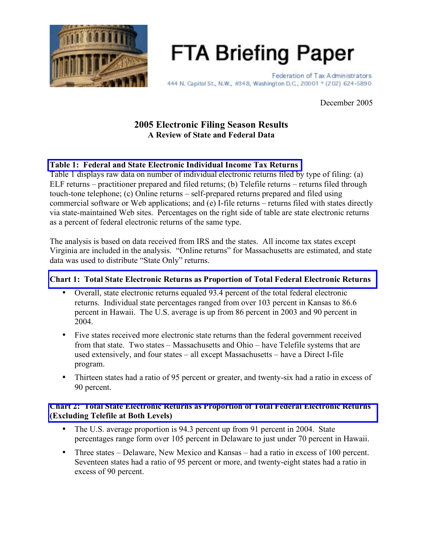

**FTA Briefing Paper** 

Federation of Tax Administrators 444 N. Capitol St., N.W., #348, Washington D.C., 20001 + (202) 624-5890

December 2005

# **2005 Electronic Filing Season Results A Review of State and Federal Data**

### **Table 1: Federal and State Electronic Individual Income [Tax Returns](#page-3-0)**

Table 1 displays raw data on number of individual electronic returns filed by type of filing: (a) ELF returns – practitioner prepared and filed returns; (b) Telefile returns – returns filed through touch-tone telephone; (c) Online returns – self-prepared returns prepared and filed using commercial software or Web applications; and (e) I-file returns – returns filed with states directly via state-maintained Web sites. Percentages on the right side of table are state electronic returns as a percent of federal electronic returns of the same type.

The analysis is based on data received from IRS and the states. All income tax states except Virginia are included in the analysis. "Online returns" for Massachusetts are estimated, and state data was used to distribute "State Only" returns.

#### **Chart 1: Total State Electronic Returns as [Proportion](#page-4-0) of Total Federal Electronic Returns**

- Overall, state electronic returns equaled 93.4 percent of the total federal electronic returns. Individual state percentages ranged from over 103 percent in Kansas to 86.6 percent in Hawaii. The U.S. average is up from 86 percent in 2003 and 90 percent in 2004.
- Five states received more electronic state returns than the federal government received from that state. Two states – Massachusetts and Ohio – have Telefile systems that are used extensively, and four states – all except Massachusetts – have a Direct I-file program.
- Thirteen states had a ratio of 95 percent or greater, and twenty-six had a ratio in excess of 90 percent.

#### **Chart 2: Total State Electronic Returns as Proportion of Total Federal Electronic Returns [\(Excluding Telefile](#page-5-0) at Both Levels)**

- The U.S. average proportion is 94.3 percent up from 91 percent in 2004. State percentages range form over 105 percent in Delaware to just under 70 percent in Hawaii.
- Three states Delaware, New Mexico and Kansas had a ratio in excess of 100 percent. Seventeen states had a ratio of 95 percent or more, and twenty-eight states had a ratio in excess of 90 percent.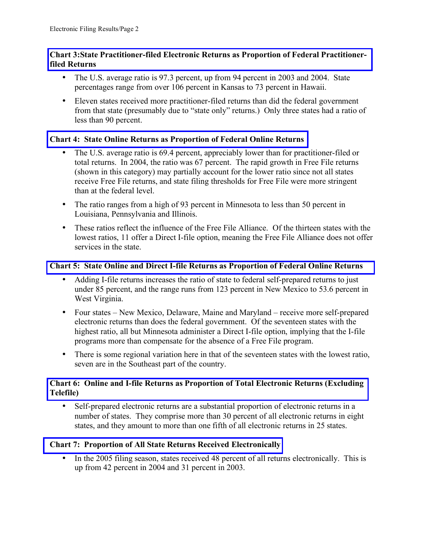### **Chart 3:State [Practitioner-filed](#page-6-0) Electronic Returns as Proportion of Federal Practitionerfiled Returns**

- The U.S. average ratio is 97.3 percent, up from 94 percent in 2003 and 2004. State percentages range from over 106 percent in Kansas to 73 percent in Hawaii.
- Eleven states received more practitioner-filed returns than did the federal government from that state (presumably due to "state only" returns.) Only three states had a ratio of less than 90 percent.

## **Chart 4: State Online Returns as [Proportion](#page-7-0) of Federal Online Returns**

- The U.S. average ratio is 69.4 percent, appreciably lower than for practitioner-filed or total returns. In 2004, the ratio was 67 percent. The rapid growth in Free File returns (shown in this category) may partially account for the lower ratio since not all states receive Free File returns, and state filing thresholds for Free File were more stringent than at the federal level.
- The ratio ranges from a high of 93 percent in Minnesota to less than 50 percent in Louisiana, Pennsylvania and Illinois.
- These ratios reflect the influence of the Free File Alliance. Of the thirteen states with the lowest ratios, 11 offer a Direct I-file option, meaning the Free File Alliance does not offer services in the state.

## **Chart 5: State Online and Direct I-file Returns as [Proportion](#page-8-0) of Federal Online Returns**

- Adding I-file returns increases the ratio of state to federal self-prepared returns to just under 85 percent, and the range runs from 123 percent in New Mexico to 53.6 percent in West Virginia.
- Four states New Mexico, Delaware, Maine and Maryland receive more self-prepared electronic returns than does the federal government. Of the seventeen states with the highest ratio, all but Minnesota administer a Direct I-file option, implying that the I-file programs more than compensate for the absence of a Free File program.
- There is some regional variation here in that of the seventeen states with the lowest ratio, seven are in the Southeast part of the country.

### **Chart 6: Online and I-file Returns as [Proportion](#page-9-0) of Total Electronic Returns (Excluding Telefile)**

• Self-prepared electronic returns are a substantial proportion of electronic returns in a number of states. They comprise more than 30 percent of all electronic returns in eight states, and they amount to more than one fifth of all electronic returns in 25 states.

## **Chart 7: Proportion of All State Returns Received [Electronically](#page-10-0)**

• In the 2005 filing season, states received 48 percent of all returns electronically. This is up from 42 percent in 2004 and 31 percent in 2003.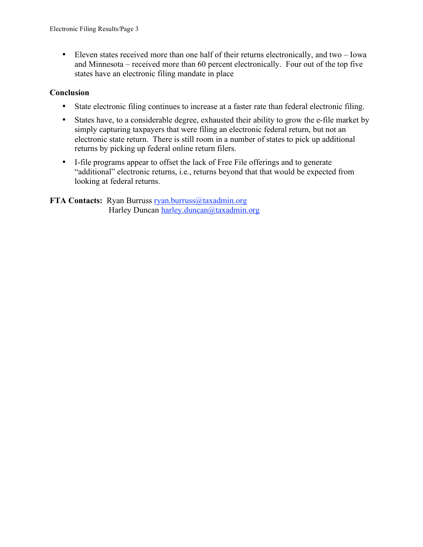• Eleven states received more than one half of their returns electronically, and two – Iowa and Minnesota – received more than 60 percent electronically. Four out of the top five states have an electronic filing mandate in place

#### **Conclusion**

- State electronic filing continues to increase at a faster rate than federal electronic filing.
- States have, to a considerable degree, exhausted their ability to grow the e-file market by simply capturing taxpayers that were filing an electronic federal return, but not an electronic state return. There is still room in a number of states to pick up additional returns by picking up federal online return filers.
- I-file programs appear to offset the lack of Free File offerings and to generate "additional" electronic returns, i.e., returns beyond that that would be expected from looking at federal returns.

### **FTA** Contacts: Ryan Burruss ryan.burruss@taxadmin.org Harley Duncan harley.duncan@taxadmin.org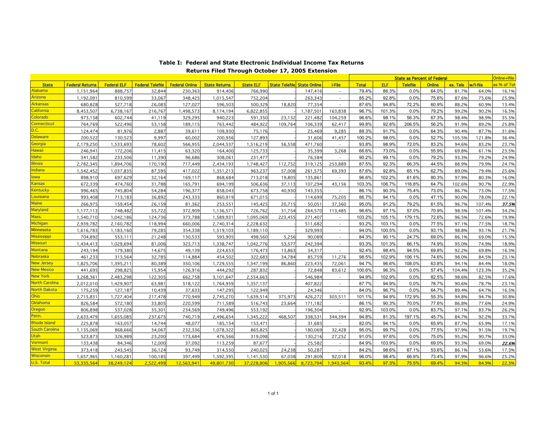<span id="page-3-0"></span>

|                       |                        |                    |                         |                       |                      |                  |                                    |           |                          | <b>State as Percent of Federal</b> |            |                 |               |          | Online+Ifile |                          |
|-----------------------|------------------------|--------------------|-------------------------|-----------------------|----------------------|------------------|------------------------------------|-----------|--------------------------|------------------------------------|------------|-----------------|---------------|----------|--------------|--------------------------|
| <b>State</b>          | <b>Federal Returns</b> | <b>Federal ELF</b> | <b>Federal Telefile</b> | <b>Federal Online</b> | <b>State Returns</b> | <b>State ELF</b> | <b>State Telefile State Online</b> |           | <b>I-File</b>            | <b>Total</b>                       | <b>ELF</b> | <b>Telefile</b> | <b>Online</b> | ex. Tele | w/l-file     | <mark>เร % of Tot</mark> |
| <b>Alabama</b>        | 1,151,964              | 888,757            | 32,844                  | 230,363               | 914,406              | 766,990          |                                    | 147,416   |                          | 79.4%                              | 86.3%      | 0.0%            | 64.0%         | 81.7%    | 64.0%        | 16.1%                    |
| Arizona               | 1,192,09               | 810,599            | 33,067                  | 348,425               | 1,015,547            | 752,204          |                                    | 263,343   |                          | 85.2%                              | 92.8%      | 0.0%            | 75.6%         | 87.6%    | 75.6%        | 25.9%                    |
| <b>Arkansas</b>       | 680.828                | 527.718            | 26.083                  | 127.027               | 596.503              | 500.329          | 18,820                             | 77.354    | $\overline{\phantom{a}}$ | 87.6%                              | 94.8%      | 72.2%           | 60.9%         | 88.2%    | 60.9%        | 13.4%                    |
| California            | 8,453,507              | 6,738,167          | 216,767                 | 1,498,573             | 8,174,194            | 6,822,855        |                                    | 1,187,501 | 163,838                  | 96.7%                              | 101.3%     | 0.0%            | 79.2%         | 99.2%    | 90.2%        | 16.5%                    |
| Colorado              | 973,158                | 602,744            | 41,119                  | 329,295               | 940,223              | 591,350          | 23,132                             | 221,482   | 104,259                  | 96.6%                              | 98.1%      | 56.3%           | 67.3%         | 98.4%    | 98.9%        | 35.5%                    |
| <b>Connecticut</b>    | 764,769                | 522,496            | 53,158                  | 189,115               | 763,442              | 484,922          | 109,764                            | 106,339   | 62,417                   | 99.8%                              | 92.8%      | 206.5%          | 56.2%         | 91.9%    | 89.2%        | 25.8%                    |
| D.C.                  | 124,474                | 81,976             | 2,887                   | 39,611                | 109,930              | 75,176           |                                    | 25,469    | 9,285                    | 88.3%                              | 91.7%      | 0.0%            | 64.3%         | 90.4%    | 87.7%        | 31.6%                    |
| <b>Delaware</b>       | 200,522                | 130,523            | 9,997                   | 60,002                | 200,956              | 127,893          |                                    | 31,606    | 41,457                   | 100.2%                             | 98.0%      | 0.0%            | 52.7%         | 105.5%   | 121.8%       | 36.4%                    |
| Georgia               | 2,179,250              | 1,533,693          | 78,602                  | 566,955               | 2,044,537            | 1,516,219        | 56,558                             | 471,760   |                          | 93.8%                              | 98.9%      | 72.0%           | 83.2%         | 94.6%    | 83.2%        | 23.7%                    |
| <b>Hawaii</b>         | 246.941                | 172,206            | 11.415                  | 63.320                | 164,400              | 125.733          |                                    | 35.399    | 3,268                    | 66.6%                              | 73.0%      | 0.0%            | 55.9%         | 69.8%    | 61.1%        | 23.5%                    |
| Idaho                 | 341,582                | 233,506            | 11,390                  | 96,686                | 308,061              | 231,477          |                                    | 76,584    |                          | 90.2%                              | 99.1%      | 0.0%            | 79.2%         | 93.3%    | 79.2%        | 24.9%                    |
| <b>Illinois</b>       | 2,782,345              | 1,894,706          | 170,190                 | 717,449               | 2,434,193            | 1,748,427        | 112,752                            | 319,125   | 253,889                  | 87.5%                              | 92.3%      | 66.3%           | 44.5%         | 88.9%    | 79.9%        | 24.7%                    |
| Indiana               | 1,542,452              | 1,037,835          | 87.595                  | 417.022               | 1,351,213            | 963,237          | 57,008                             | 261,575   | 69,393                   | 87.6%                              | 92.8%      | 65.1%           | 62.7%         | 89.0%    | 79.4%        | 25.6%                    |
| lowa                  | 898,910                | 697,629            | 32,164                  | 169,117               | 868,684              | 713,018          | 19,805                             | 135,861   |                          | 96.6%                              | 102.2%     | 61.6%           | 80.3%         | 97.9%    | 80.3%        | 16.0%                    |
| <b>Kansas</b>         | 672,339                | 474,760            | 31,788                  | 165,791               | 694,199              | 506,636          | 37,113                             | 107.294   | 43,156                   | 103.3%                             | 106.7%     | 116.8%          | 64.7%         | 102.6%   | 90.7%        | 22.9%                    |
| <b>Kentucky</b>       | 996,465                | 745,804            | 54,284                  | 196,377               | 858,043              | 673,758          | 40,930                             | 143,355   | $\sim$                   | 86.1%                              | 90.3%      | 75.4%           | 73.0%         | 86.7%    | 73.0%        | 17.5%                    |
| Louisiana             | 993.408                | 713.183            | 36.892                  | 243.333               | 860.919              | 671.015          |                                    | 114.699   | 75.205                   | 86.7%                              | 94.1%      | 0.0%            | 47.1%         | 90.0%    | 78.0%        | 22.1%                    |
| <b>Maine</b>          | 266,975                | 159,454            | 26,159                  | 81,362                | 253,551              | 145,425          | 20,715                             | 50,05     | 37,360                   | 95.0%                              | 91.2%      | 79.2%           | 61.5%         | 96.7%    | 107.4%       | 37.5%                    |
| Maryland              | 1,177,113              | 748,482            | 55,722                  | 372,909               | 1,136,571            | 726,762          | 31,754                             | 264,570   | 113,485                  | 96.6%                              | 97.1%      | 57.0%           | 70.9%         | 98.5%    | 101.4%       | 34.2%                    |
| Mass.                 | 1.540.710              | 1.042.186          | 124.736                 | 373,788               | 1.589.931            | 1,095,069        | 223,455                            | 271.407   | $\sim$                   | 103.2%                             | 105.1%     | 179.1%          | 72.6%         | 96.5%    | 72.6%        | 19.9%                    |
| <b>Michigan</b>       | 2,939,782              | 2,160,782          | 118,994                 | 660,006               | 2,740,314            | 2,228,632        |                                    | 511,682   |                          | 93.2%                              | 103.1%     | 0.0%            | 77.5%         | 97.1%    | 77.5%        | 18.7%                    |
| Minnesota             | 1.616.783              | 1.183.160          | 79.285                  | 354.338               | 1.519.103            | 1,189,110        |                                    | 329.993   |                          | 94.0%                              | 100.5%     | 0.0%            | 93.1%         | 98.8%    | 93.1%        | 21.7%                    |
| <b>Mississippi</b>    | 704,892                | 553,111            | 21,248                  | 130,533               | 593,905              | 498,560          | 5,256                              | 90,089    | $\sim$                   | 84.3%                              | 90.1%      | 24.7%           | 69.0%         | 86.1%    | 69.0%        | 15.3%                    |
| <b>Missouri</b>       | 1,434,413              | 1,029,694          | 81,006                  | 323,713               | 1,338,747            | 1,042,776        | 53,577                             | 242,394   | $\tilde{\phantom{a}}$    | 93.3%                              | 101.3%     | 66.1%           | 74.9%         | 95.0%    | 74.9%        | 18.9%                    |
| <b>Montana</b>        | 243,194                | 179,380            | 14,675                  | 49,139                | 224,653              | 176,473          | 13,863                             | 34,317    |                          | 92.4%                              | 98.4%      | 94.5%           | 69.8%         | 92.2%    | 69.8%        | 16.3%                    |
| <b>Nebraska</b>       | 461,233                | 313,564            | 32,785                  | 114,884               | 454,502              | 322,683          | 34,784                             | 85,759    | 11,276                   | 98.5%                              | 102.9%     | 106.1%          | 74.6%         | 98.0%    | 84.5%        | 23.1%                    |
| <b>New Jersey</b>     | 1.825.706              | 1.395.211          | 80.389                  | 350.106               | 1.729,555            | 1.347.199        | 86,860                             | 223.435   | 72.061                   | 94.7%                              | 96.6%      | 108.0%          | 63.8%         | 94.1%    | 84.4%        | 18.0%                    |
| <b>New Mexico</b>     | 441,695                | 298,825            | 15,954                  | 126,916               | 444,292              | 287,832          |                                    | 72,848    | 83,612                   | 100.6%                             | 96.3%      | 0.0%            | 57.4%         | 104.4%   | 123.3%       | 35.2%                    |
| <b>New York</b>       | 3,268,36               | 2,483,298          | 122,305                 | 662,758               | 3,101,647            | 2,554,663        |                                    | 546,984   |                          | 94.9%                              | 102.9%     | 0.0%            | 82.5%         | 98.6%    | 82.5%        | 17.6%                    |
| <b>North Carolina</b> | 2.012.010              | 1.429.907          | 63.981                  | 518,122               | 1.764.959            | 1,357,137        |                                    | 407.822   | $\overline{\phantom{a}}$ | 87.7%                              | 94.9%      | 0.0%            | 78.7%         | 90.6%    | 78.7%        | 23.1%                    |
| <b>North Dakota</b>   | 175,259                | 127,187            | 10,439                  | 37,633                | 147,295              | 122,949          |                                    | 24,346    |                          | 84.0%                              | 96.7%      | 0.0%            | 64.7%         | 89.4%    | 64.7%        | 16.5%                    |
| <b>Ohio</b>           | 2,715,831              | 1.727.404          | 217,478                 | 770,949               | 2,745,270            | 1,639,514        | 375.973                            | 426.272   | 303.511                  | 101.1%                             | 94.9%      | 172.9%          | 55.3%         | 94.8%    | 94.7%        | 30.8%                    |
| Oklahoma              | 826,584                | 572,180            | 33,805                  | 220,599               | 711,589              | 516,743          | 23,664                             | 171,182   | $\mathbf{r}$             | 86.1%                              | 90.3%      | 70.0%           | 77.6%         | 86.8%    | 77.6%        | 24.9%                    |
| Oregon                | 806.898                | 537.028            | 35.301                  | 234.569               | 749.496              | 553.192          |                                    | 196.304   | $\blacksquare$           | 92.9%                              | 103.0%     | 0.0%            | 83.7%         | 97.1%    | 83.7%        | 26.2%                    |
| Penn.                 | 2,633,479              | 1,655,085          | 237,675                 | 740,719               | 2,496,654            | 1,345,222        | 468,507                            | 338,53    | 344,394                  | 94.8%                              | 81.3%      | 197.1%          | 45.7%         | 84.7%    | 92.2%        | 33.7%                    |
| <b>Rhode Island</b>   | 225,878                | 163,057            | 14,744                  | 48,077                | 185,154              | 153,471          |                                    | 31,683    |                          | 82.0%                              | 94.1%      | 0.0%            | 65.9%         | 87.7%    | 65.9%        | 17.1%                    |
| <b>South Carolina</b> | 1.135,069              | 868.666            | 34.067                  | 232.336               | 1.078,322            | 865.825          |                                    | 180.069   | 32.428                   | 95.0%                              | 99.7%      | 0.0%            | 77.5%         | 97.9%    | 91.5%        | 19.7%                    |
| Utah                  | 523,873                | 326,989            | 23,200                  | 173,684               | 476,566              | 319,098          |                                    | 130,216   | 27,252                   | 91.0%                              | 97.6%      | 0.0%            | 75.0%         | 95.2%    | 90.7%        | 33.0%                    |
| Vermont               | 133,438                | 84,346             | 12,000                  | 37,092                | 113,259              | 87,677           |                                    | 25,582    |                          | 84.9%                              | 103.9%     | 0.0%            | 69.0%         | 93.3%    | 69.0%        | 22.6%                    |
| <b>West Virginia</b>  | 373,418                | 243,545            | 36.124                  | 93,749                | 314,550              | 240,025          | 24,238                             | 50,287    | $\sim$                   | 84.2%                              | 98.6%      | 67.1%           | 53.6%         | 86.1%    | 53.6%        | 17.3%                    |
| <b>Wisconsin</b>      | 1,657,965              | 1,160,281          | 100,185                 | 397,499               | 1.592.395            | 1,141,530        | 67,038                             | 291,809   | 92,018                   | 96.0%                              | 98.4%      | 66.9%           | 73.4%         | 97.9%    | 96.6%        | 25.2%                    |
| <b>U.S. Total</b>     | 53.335.564             | 38.249.124         | 2.522.499               | 12.563.941            | 49.801.730           | 37.228.806       | 1.905.566                          | 8.723.794 | 1.943.564                | 93.4%                              | 97.3%      | 75.5%           | 69.4%         | 94.3%    | 84.9%        | 22.3%                    |

#### **Returns Filed Through October 17, 2005 Extension Table I: Federal and State Electronic Individual Income Tax Returns**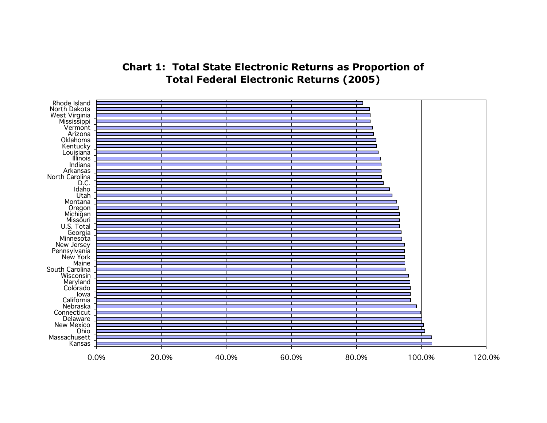# **Chart 1: Total State Electronic Returns as Proportion of Total Federal Electronic Returns (2005)**

<span id="page-4-0"></span>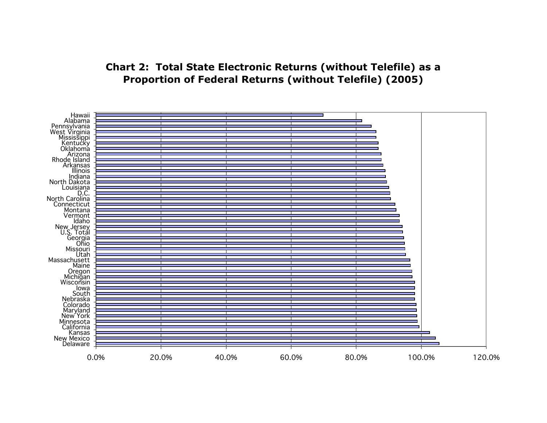# **Chart 2: Total State Electronic Returns (without Telefile) as a Proportion of Federal Returns (without Telefile) (2005)**

<span id="page-5-0"></span>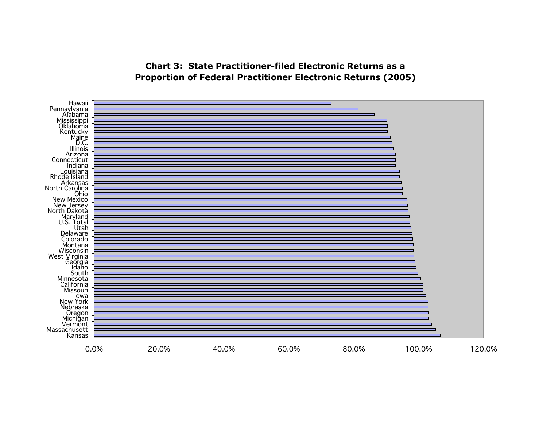## **Chart 3: State Practitioner-filed Electronic Returns as a Proportion of Federal Practitioner Electronic Returns (2005)**

<span id="page-6-0"></span>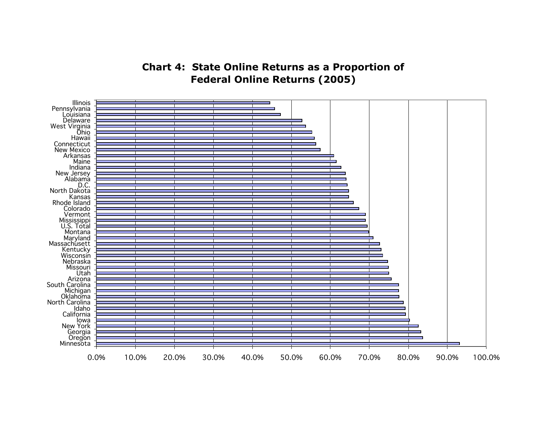**Chart 4: State Online Returns as a Proportion of Federal Online Returns (2005)**

<span id="page-7-0"></span>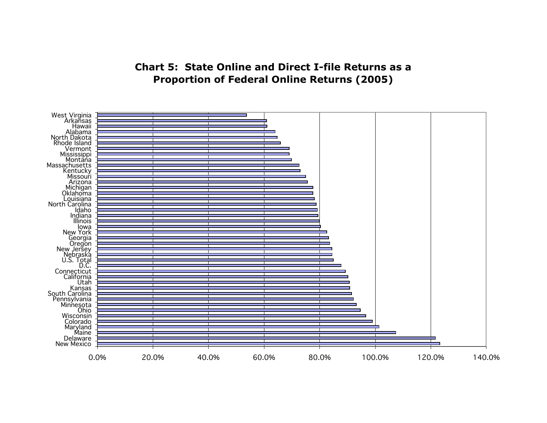# **Chart 5: State Online and Direct I-file Returns as a Proportion of Federal Online Returns (2005)**

<span id="page-8-0"></span>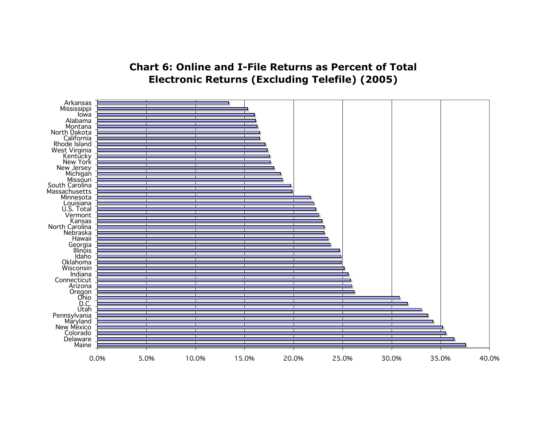# **Chart 6: Online and I-File Returns as Percent of Total Electronic Returns (Excluding Telefile) (2005)**

<span id="page-9-0"></span>